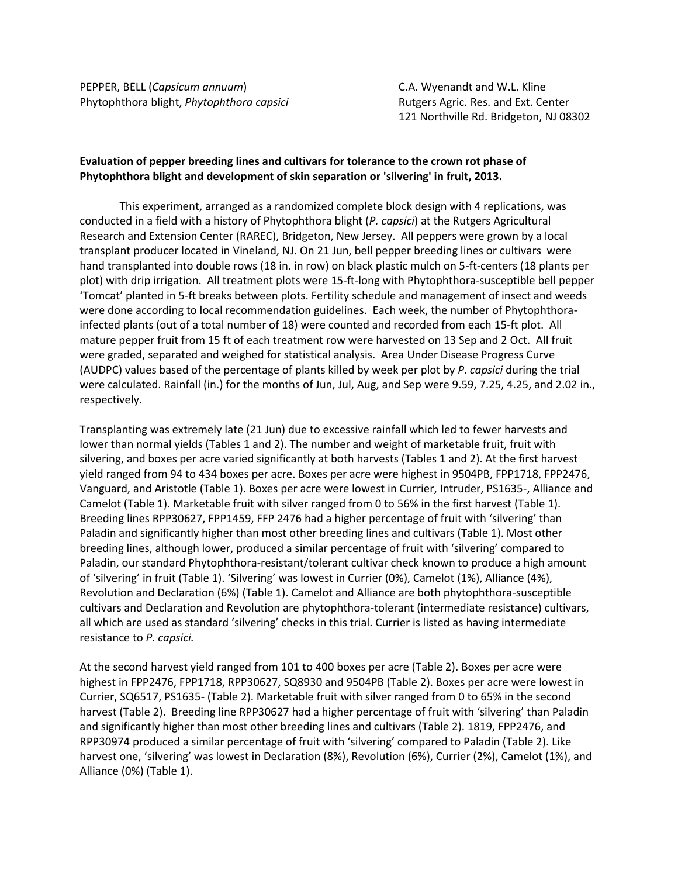PEPPER, BELL (*Capsicum annuum*) C.A. Wyenandt and W.L. Kline Phytophthora blight, *Phytophthora capsici* **Rutgers Agric. Res. and Ext. Center** 

121 Northville Rd. Bridgeton, NJ 08302

## **Evaluation of pepper breeding lines and cultivars for tolerance to the crown rot phase of Phytophthora blight and development of skin separation or 'silvering' in fruit, 2013.**

This experiment, arranged as a randomized complete block design with 4 replications, was conducted in a field with a history of Phytophthora blight (*P. capsici*) at the Rutgers Agricultural Research and Extension Center (RAREC), Bridgeton, New Jersey. All peppers were grown by a local transplant producer located in Vineland, NJ. On 21 Jun, bell pepper breeding lines or cultivars were hand transplanted into double rows (18 in. in row) on black plastic mulch on 5-ft-centers (18 plants per plot) with drip irrigation. All treatment plots were 15-ft-long with Phytophthora-susceptible bell pepper 'Tomcat' planted in 5-ft breaks between plots. Fertility schedule and management of insect and weeds were done according to local recommendation guidelines. Each week, the number of Phytophthorainfected plants (out of a total number of 18) were counted and recorded from each 15-ft plot. All mature pepper fruit from 15 ft of each treatment row were harvested on 13 Sep and 2 Oct. All fruit were graded, separated and weighed for statistical analysis. Area Under Disease Progress Curve (AUDPC) values based of the percentage of plants killed by week per plot by *P. capsici* during the trial were calculated. Rainfall (in.) for the months of Jun, Jul, Aug, and Sep were 9.59, 7.25, 4.25, and 2.02 in., respectively.

Transplanting was extremely late (21 Jun) due to excessive rainfall which led to fewer harvests and lower than normal yields (Tables 1 and 2). The number and weight of marketable fruit, fruit with silvering, and boxes per acre varied significantly at both harvests (Tables 1 and 2). At the first harvest yield ranged from 94 to 434 boxes per acre. Boxes per acre were highest in 9504PB, FPP1718, FPP2476, Vanguard, and Aristotle (Table 1). Boxes per acre were lowest in Currier, Intruder, PS1635-, Alliance and Camelot (Table 1). Marketable fruit with silver ranged from 0 to 56% in the first harvest (Table 1). Breeding lines RPP30627, FPP1459, FFP 2476 had a higher percentage of fruit with 'silvering' than Paladin and significantly higher than most other breeding lines and cultivars (Table 1). Most other breeding lines, although lower, produced a similar percentage of fruit with 'silvering' compared to Paladin, our standard Phytophthora-resistant/tolerant cultivar check known to produce a high amount of 'silvering' in fruit (Table 1). 'Silvering' was lowest in Currier (0%), Camelot (1%), Alliance (4%), Revolution and Declaration (6%) (Table 1). Camelot and Alliance are both phytophthora-susceptible cultivars and Declaration and Revolution are phytophthora-tolerant (intermediate resistance) cultivars, all which are used as standard 'silvering' checks in this trial. Currier is listed as having intermediate resistance to *P. capsici.*

At the second harvest yield ranged from 101 to 400 boxes per acre (Table 2). Boxes per acre were highest in FPP2476, FPP1718, RPP30627, SQ8930 and 9504PB (Table 2). Boxes per acre were lowest in Currier, SQ6517, PS1635- (Table 2). Marketable fruit with silver ranged from 0 to 65% in the second harvest (Table 2). Breeding line RPP30627 had a higher percentage of fruit with 'silvering' than Paladin and significantly higher than most other breeding lines and cultivars (Table 2). 1819, FPP2476, and RPP30974 produced a similar percentage of fruit with 'silvering' compared to Paladin (Table 2). Like harvest one, 'silvering' was lowest in Declaration (8%), Revolution (6%), Currier (2%), Camelot (1%), and Alliance (0%) (Table 1).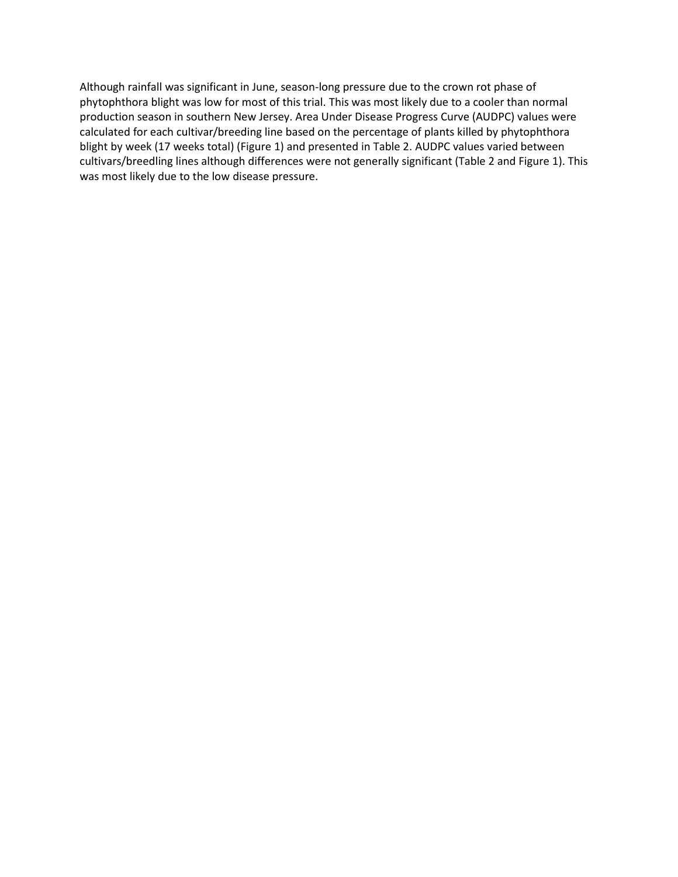Although rainfall was significant in June, season-long pressure due to the crown rot phase of phytophthora blight was low for most of this trial. This was most likely due to a cooler than normal production season in southern New Jersey. Area Under Disease Progress Curve (AUDPC) values were calculated for each cultivar/breeding line based on the percentage of plants killed by phytophthora blight by week (17 weeks total) (Figure 1) and presented in Table 2. AUDPC values varied between cultivars/breedling lines although differences were not generally significant (Table 2 and Figure 1). This was most likely due to the low disease pressure.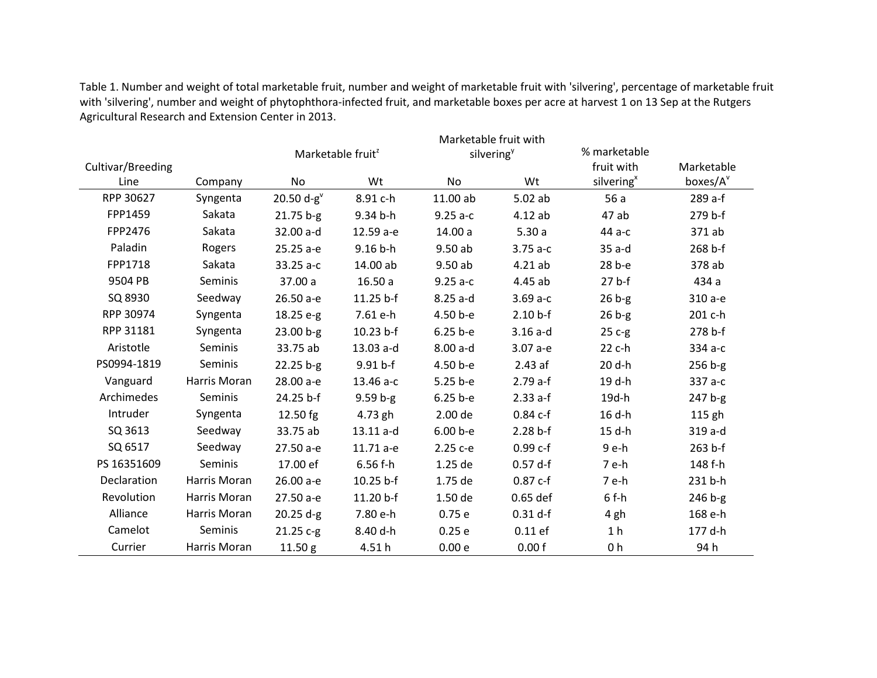Table 1. Number and weight of total marketable fruit, number and weight of marketable fruit with 'silvering', percentage of marketable fruit with 'silvering', number and weight of phytophthora-infected fruit, and marketable boxes per acre at harvest 1 on 13 Sep at the Rutgers Agricultural Research and Extension Center in 2013.

|                   |              |              | Marketable fruit <sup>2</sup> | Marketable fruit with<br>silvering <sup>y</sup> |            | % marketable           |            |
|-------------------|--------------|--------------|-------------------------------|-------------------------------------------------|------------|------------------------|------------|
| Cultivar/Breeding |              |              | Wt                            |                                                 | Wt         | fruit with             | Marketable |
| Line              | Company      | No           |                               | <b>No</b>                                       |            | silvering <sup>x</sup> | boxes/A    |
| RPP 30627         | Syngenta     | 20.50 $d-gv$ | 8.91 c-h                      | 11.00 ab                                        | 5.02ab     | 56a                    | 289 a-f    |
| FPP1459           | Sakata       | $21.75 b-g$  | 9.34 b-h                      | $9.25a-c$                                       | 4.12ab     | 47 ab                  | 279 b-f    |
| FPP2476           | Sakata       | 32.00 a-d    | 12.59 a-e                     | 14.00 a                                         | 5.30a      | 44 a-c                 | 371 ab     |
| Paladin           | Rogers       | 25.25 a-e    | $9.16 b-h$                    | 9.50ab                                          | $3.75a-c$  | $35a-d$                | 268 b-f    |
| FPP1718           | Sakata       | 33.25 a-c    | 14.00 ab                      | 9.50ab                                          | 4.21ab     | 28 b-e                 | 378 ab     |
| 9504 PB           | Seminis      | 37.00 a      | 16.50a                        | $9.25a-c$                                       | 4.45 ab    | $27b$ -f               | 434 a      |
| SQ 8930           | Seedway      | 26.50 a-e    | 11.25 b-f                     | 8.25 a-d                                        | $3.69a-c$  | $26b-g$                | 310 a-e    |
| RPP 30974         | Syngenta     | 18.25 e-g    | 7.61 e-h                      | 4.50 b-e                                        | $2.10 b-f$ | $26b-g$                | 201 c-h    |
| RPP 31181         | Syngenta     | $23.00 b-g$  | $10.23 b-f$                   | $6.25 b - e$                                    | $3.16a-d$  | $25c-g$                | 278 b-f    |
| Aristotle         | Seminis      | 33.75 ab     | 13.03 a-d                     | $8.00a-d$                                       | 3.07 а-е   | 22 c-h                 | 334 а-с    |
| PS0994-1819       | Seminis      | $22.25 b-g$  | $9.91 b-f$                    | 4.50 b-e                                        | 2.43af     | 20 d-h                 | $256 b-g$  |
| Vanguard          | Harris Moran | 28.00 a-e    | 13.46 a-c                     | 5.25 b-e                                        | $2.79a-f$  | 19 d-h                 | 337 a-c    |
| Archimedes        | Seminis      | 24.25 b-f    | $9.59 b-g$                    | $6.25 b-e$                                      | $2.33a-f$  | 19d-h                  | $247 b-g$  |
| Intruder          | Syngenta     | 12.50 fg     | 4.73 gh                       | 2.00 de                                         | $0.84c-f$  | 16 d-h                 | 115 gh     |
| SQ 3613           | Seedway      | 33.75 ab     | 13.11 a-d                     | $6.00 b - e$                                    | $2.28 b-f$ | 15 d-h                 | 319 a-d    |
| SQ 6517           | Seedway      | 27.50 a-e    | 11.71 a-e                     | 2.25 с-е                                        | $0.99c-f$  | 9 e-h                  | 263 b-f    |
| PS 16351609       | Seminis      | 17.00 ef     | $6.56f-h$                     | 1.25 de                                         | $0.57$ d-f | 7 e-h                  | 148 f-h    |
| Declaration       | Harris Moran | 26.00 a-e    | 10.25 b-f                     | 1.75 de                                         | $0.87c-f$  | 7 e-h                  | 231 b-h    |
| Revolution        | Harris Moran | 27.50 a-e    | 11.20 b-f                     | 1.50 de                                         | $0.65$ def | $6f-h$                 | $246 b-g$  |
| Alliance          | Harris Moran | $20.25 d-g$  | 7.80 e-h                      | 0.75e                                           | $0.31$ d-f | 4 gh                   | 168 e-h    |
| Camelot           | Seminis      | 21.25 c-g    | 8.40 d-h                      | 0.25e                                           | $0.11$ ef  | 1 <sub>h</sub>         | 177 d-h    |
| Currier           | Harris Moran | 11.50 g      | 4.51h                         | 0.00 e                                          | 0.00 f     | 0 <sub>h</sub>         | 94 h       |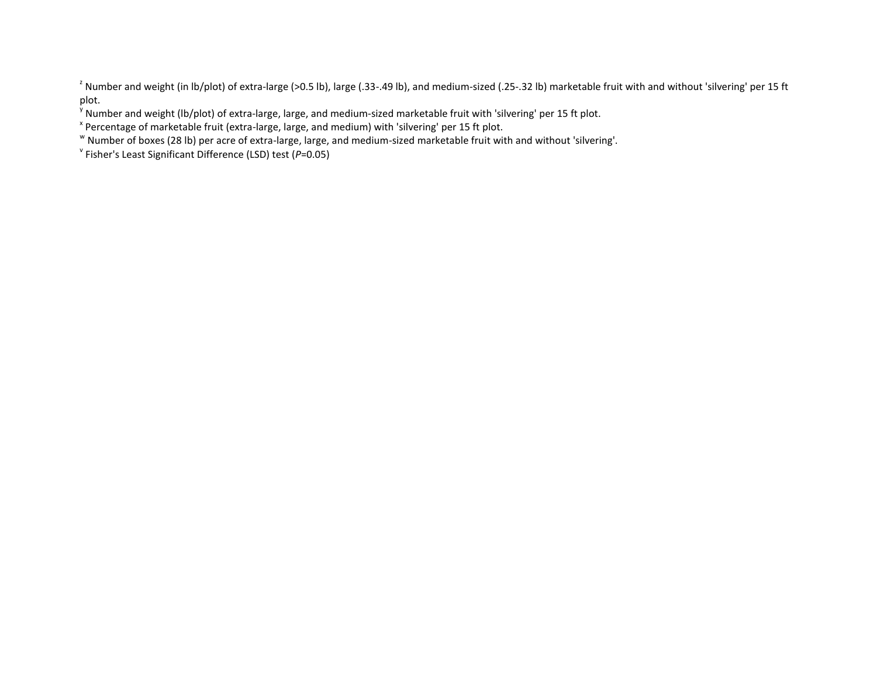<sup>2</sup> Number and weight (in lb/plot) of extra-large (>0.5 lb), large (.33-.49 lb), and medium-sized (.25-.32 lb) marketable fruit with and without 'silvering' per 15 ft plot.

<sup>y</sup> Number and weight (lb/plot) of extra-large, large, and medium-sized marketable fruit with 'silvering' per 15 ft plot.

<sup>x</sup> Percentage of marketable fruit (extra-large, large, and medium) with 'silvering' per 15 ft plot.

w Number of boxes (28 lb) per acre of extra-large, large, and medium-sized marketable fruit with and without 'silvering'.

v Fisher's Least Significant Difference (LSD) test (*P*=0.05)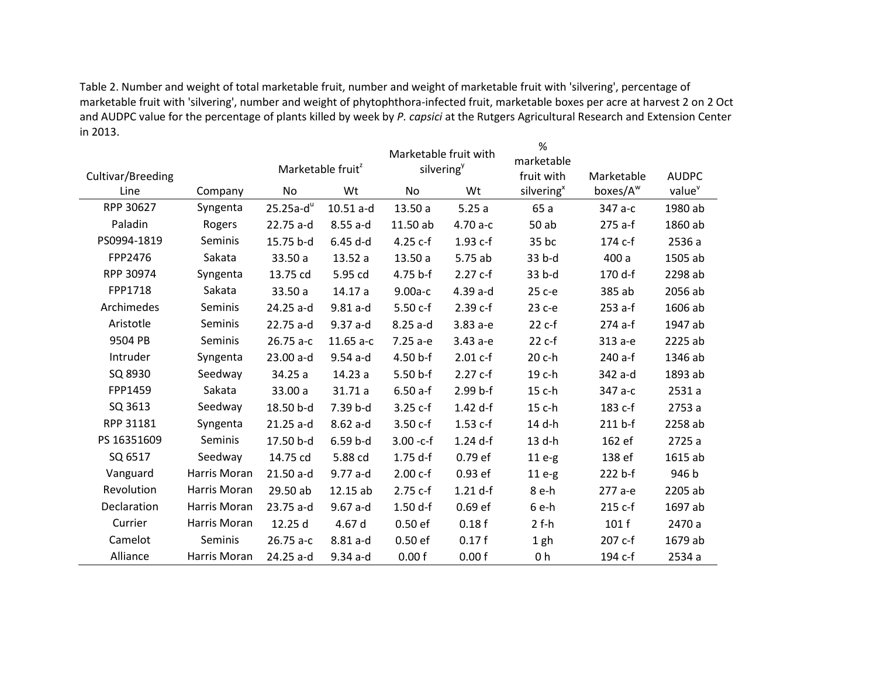Table 2. Number and weight of total marketable fruit, number and weight of marketable fruit with 'silvering', percentage of marketable fruit with 'silvering', number and weight of phytophthora-infected fruit, marketable boxes per acre at harvest 2 on 2 Oct and AUDPC value for the percentage of plants killed by week by *P. capsici* at the Rutgers Agricultural Research and Extension Center in 2013.

|                   |              |                               |             | Marketable fruit with  |            | %<br>marketable        |                      |                    |
|-------------------|--------------|-------------------------------|-------------|------------------------|------------|------------------------|----------------------|--------------------|
| Cultivar/Breeding |              | Marketable fruit <sup>2</sup> |             | silvering <sup>y</sup> |            | fruit with             | Marketable           | <b>AUDPC</b>       |
| Line              | Company      | No                            | Wt          | No                     | Wt         | silvering <sup>x</sup> | boxes/A <sup>w</sup> | value <sup>v</sup> |
| RPP 30627         | Syngenta     | $25.25a-du$                   | $10.51$ a-d | 13.50a                 | 5.25a      | 65 a                   | 347 а-с              | 1980 ab            |
| Paladin           | Rogers       | 22.75 a-d                     | $8.55a-d$   | 11.50 ab               | $4.70a-c$  | 50 ab                  | 275 a-f              | 1860 ab            |
| PS0994-1819       | Seminis      | 15.75 b-d                     | $6.45$ d-d  | $4.25c-f$              | 1.93 c-f   | 35 bc                  | 174 c-f              | 2536 a             |
| FPP2476           | Sakata       | 33.50 a                       | 13.52a      | 13.50a                 | 5.75 ab    | 33 b-d                 | 400 a                | 1505 ab            |
| RPP 30974         | Syngenta     | 13.75 cd                      | 5.95 cd     | $4.75 b-f$             | $2.27c-f$  | 33 b-d                 | 170 d-f              | 2298 ab            |
| FPP1718           | Sakata       | 33.50 a                       | 14.17a      | 9.00a-c                | $4.39a-d$  | 25 с-е                 | 385 ab               | 2056 ab            |
| Archimedes        | Seminis      | 24.25 a-d                     | $9.81a-d$   | 5.50 c-f               | 2.39 c-f   | 23 с-е                 | 253 a-f              | 1606 ab            |
| Aristotle         | Seminis      | 22.75 a-d                     | $9.37$ a-d  | $8.25a-d$              | 3.83 a-e   | $22c-f$                | 274 a-f              | 1947 ab            |
| 9504 PB           | Seminis      | $26.75a-c$                    | $11.65$ a-c | $7.25a-e$              | 3.43 а-е   | $22c-f$                | 313 а-е              | 2225 ab            |
| Intruder          | Syngenta     | 23.00 a-d                     | $9.54$ a-d  | $4.50 b-f$             | $2.01 c-f$ | 20 c-h                 | 240 a-f              | 1346 ab            |
| SQ 8930           | Seedway      | 34.25 a                       | 14.23a      | $5.50 b-f$             | $2.27c-f$  | 19 c-h                 | 342 a-d              | 1893 ab            |
| FPP1459           | Sakata       | 33.00 a                       | 31.71a      | $6.50a-f$              | $2.99 b-f$ | 15 c-h                 | 347 а-с              | 2531 a             |
| SQ 3613           | Seedway      | 18.50 b-d                     | 7.39 b-d    | $3.25c-f$              | 1.42 d-f   | 15 c-h                 | 183 c-f              | 2753 a             |
| RPP 31181         | Syngenta     | $21.25$ a-d                   | $8.62a-d$   | $3.50c-f$              | 1.53 c-f   | 14 d-h                 | 211 b-f              | 2258 ab            |
| PS 16351609       | Seminis      | 17.50 b-d                     | $6.59b-d$   | $3.00 - c-f$           | $1.24$ d-f | 13 d-h                 | 162 ef               | 2725 a             |
| SQ 6517           | Seedway      | 14.75 cd                      | 5.88 cd     | $1.75$ d-f             | 0.79 ef    | $11e-g$                | 138 ef               | 1615 ab            |
| Vanguard          | Harris Moran | 21.50 a-d                     | $9.77$ a-d  | $2.00 c-f$             | 0.93 ef    | $11e-g$                | 222 b-f              | 946 b              |
| Revolution        | Harris Moran | 29.50 ab                      | 12.15 ab    | 2.75 c-f               | $1.21$ d-f | 8 e-h                  | 277 a-e              | 2205 ab            |
| Declaration       | Harris Moran | 23.75 a-d                     | $9.67$ a-d  | $1.50 d-f$             | 0.69 ef    | 6 e-h                  | 215 c-f              | 1697 ab            |
| Currier           | Harris Moran | 12.25 d                       | 4.67 d      | 0.50ef                 | 0.18f      | $2f-h$                 | 101f                 | 2470 a             |
| Camelot           | Seminis      | $26.75a-c$                    | $8.81a-d$   | 0.50ef                 | 0.17f      | 1 gh                   | 207 c-f              | 1679 ab            |
| Alliance          | Harris Moran | 24.25 a-d                     | $9.34$ a-d  | 0.00 f                 | 0.00 f     | 0 h                    | 194 c-f              | 2534 a             |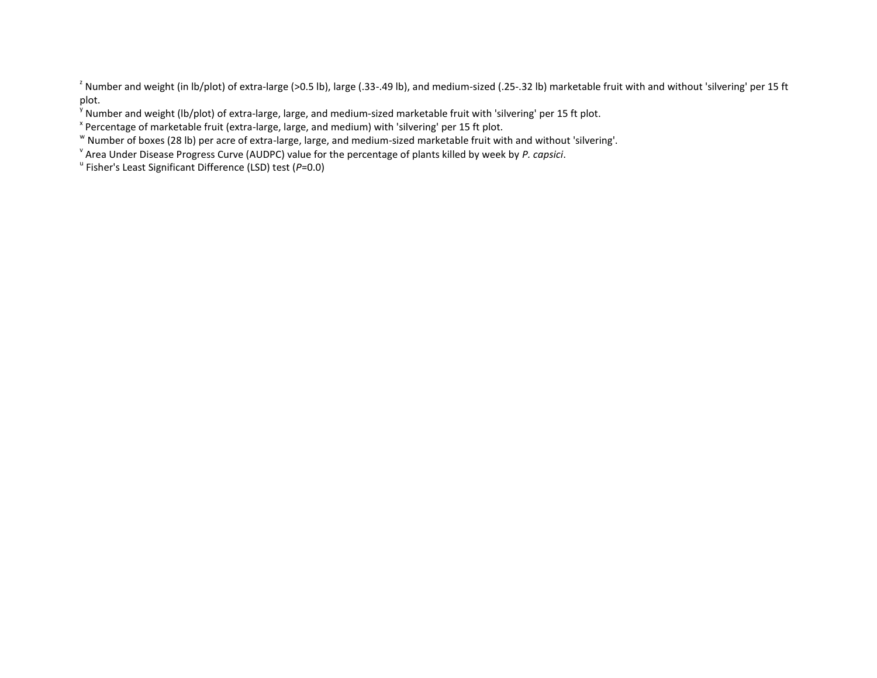<sup>2</sup> Number and weight (in lb/plot) of extra-large (>0.5 lb), large (.33-.49 lb), and medium-sized (.25-.32 lb) marketable fruit with and without 'silvering' per 15 ft plot.

<sup>y</sup> Number and weight (lb/plot) of extra-large, large, and medium-sized marketable fruit with 'silvering' per 15 ft plot.

<sup>x</sup> Percentage of marketable fruit (extra-large, large, and medium) with 'silvering' per 15 ft plot.

w Number of boxes (28 lb) per acre of extra-large, large, and medium-sized marketable fruit with and without 'silvering'.

v Area Under Disease Progress Curve (AUDPC) value for the percentage of plants killed by week by *P. capsici*.

u Fisher's Least Significant Difference (LSD) test (*P*=0.0)